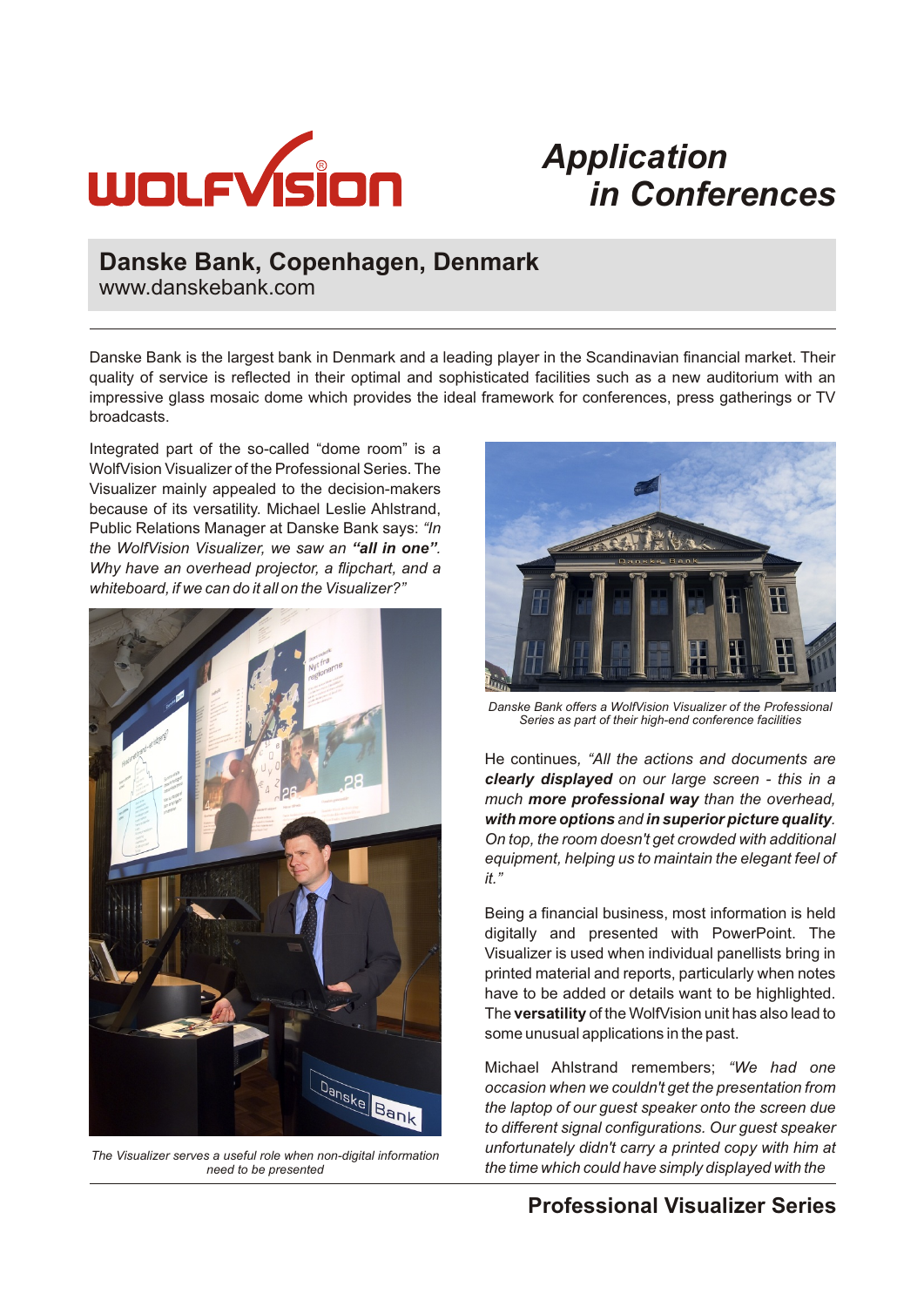

# *Application in Conferences*

### **Danske Bank, Copenhagen, Denmark**

www.danskebank.com

Danske Bank is the largest bank in Denmark and a leading player in the Scandinavian financial market. Their quality of service is reflected in their optimal and sophisticated facilities such as a new auditorium with an impressive glass mosaic dome which provides the ideal framework for conferences, press gatherings or TV broadcasts.

Integrated part of the so-called "dome room" is a WolfVision Visualizer of the Professional Series. The Visualizer mainly appealed to the decision-makers because of its versatility. Michael Leslie Ahlstrand, Public Relations Manager at Danske Bank says: *"In the WolfVision Visualizer, we saw an "all in one". Why have an overhead projector, a flipchart, and a whiteboard, if we can do it all on the Visualizer?"* 



*The Visualizer serves a useful role when non-digital information need to be presented*



*Danske Bank offers a WolfVision Visualizer of the Professional Series as part of their high-end conference facilities*

He continues*, "All the actions and documents are clearly displayed on our large screen - this in a much more professional way than the overhead, with more optionsand in superior picture quality. On top, the room doesn't get crowded with additional equipment, helping us to maintain the elegant feel of it."* 

Being a financial business, most information is held digitally and presented with PowerPoint. The Visualizer is used when individual panellists bring in printed material and reports, particularly when notes have to be added or details want to be highlighted. The **versatility**of the WolfVision unit has also lead to some unusual applications in the past.

Michael Ahlstrand remembers; *"We had one occasion when we couldn't get the presentation from the laptop of our guest speaker onto the screen due to different signal configurations. Our guest speaker unfortunately didn't carry a printed copy with him at the time which could have simply displayed with the* 

#### **Professional Visualizer Series**